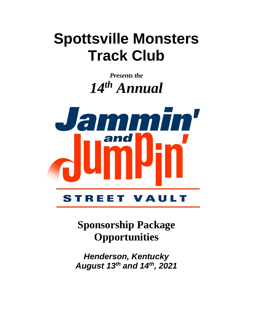# **Spottsville Monsters Track Club**

*Presents the 14 th Annual*



**Sponsorship Package Opportunities**

*Henderson, Kentucky August 13th and 14th, 2021*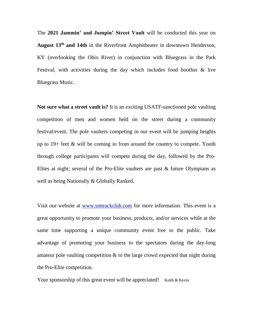The **2021 Jammin' and Jumpin' Street Vault** will be conducted this year on **August 13th and 14th** in the Riverfront Amphitheater in downtown Henderson, KY (overlooking the Ohio River) in conjunction with Bluegrass in the Park Festival, with activities during the day which includes food boothss & live Bluegrass Music.

**Not sure what a street vault is?** It is an exciting USATF-sanctioned pole vaulting competition of men and women held on the street during a community festival/event. The pole vaulters competing in our event will be jumping heights up to  $19+$  feet  $\&$  will be coming in from around the country to compete. Youth through college participants will compete during the day, followed by the Pro-Elites at night; several of the Pro-Elite vaulters are past & future Olympians as well as being Nationally & Globally Ranked.

Visit our website at [www.smtrackclub.com](http://www.smtrackclub.com/) for more information. This event is a great opportunity to promote your business, products, and/or services while at the same time supporting a unique community event free to the public. Take advantage of promoting your business to the spectators during the day-long amateur pole vaulting competition & to the large crowd expected that night during the Pro-Elite competition.

Your sponsorship of this great event will be appreciated! Keith & Kevin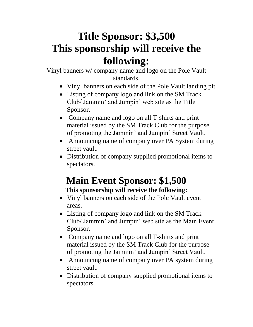# **Title Sponsor: \$3,500 This sponsorship will receive the following:**

Vinyl banners w/ company name and logo on the Pole Vault standards.

- Vinyl banners on each side of the Pole Vault landing pit.
- Listing of company logo and link on the SM Track Club/ Jammin' and Jumpin' web site as the Title Sponsor.
- Company name and logo on all T-shirts and print material issued by the SM Track Club for the purpose of promoting the Jammin' and Jumpin' Street Vault.
- Announcing name of company over PA System during street vault.
- Distribution of company supplied promotional items to spectators.

### **Main Event Sponsor: \$1,500 This sponsorship will receive the following:**

- Vinyl banners on each side of the Pole Vault event areas.
- Listing of company logo and link on the SM Track Club/ Jammin' and Jumpin' web site as the Main Event Sponsor.
- Company name and logo on all T-shirts and print material issued by the SM Track Club for the purpose of promoting the Jammin' and Jumpin' Street Vault.
- Announcing name of company over PA system during street vault.
- Distribution of company supplied promotional items to spectators.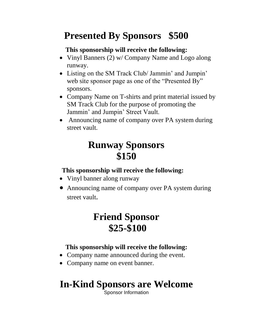### **Presented By Sponsors \$500**

#### **This sponsorship will receive the following:**

- Vinyl Banners (2) w/ Company Name and Logo along runway.
- Listing on the SM Track Club/ Jammin' and Jumpin' web site sponsor page as one of the "Presented By" sponsors.
- Company Name on T-shirts and print material issued by SM Track Club for the purpose of promoting the Jammin' and Jumpin' Street Vault.
- Announcing name of company over PA system during street vault.

### **Runway Sponsors \$150**

#### **This sponsorship will receive the following:**

- Vinyl banner along runway
- Announcing name of company over PA system during street vault.

### **Friend Sponsor \$25-\$100**

#### **This sponsorship will receive the following:**

- Company name announced during the event.
- Company name on event banner.

## **In-Kind Sponsors are Welcome**

Sponsor Information